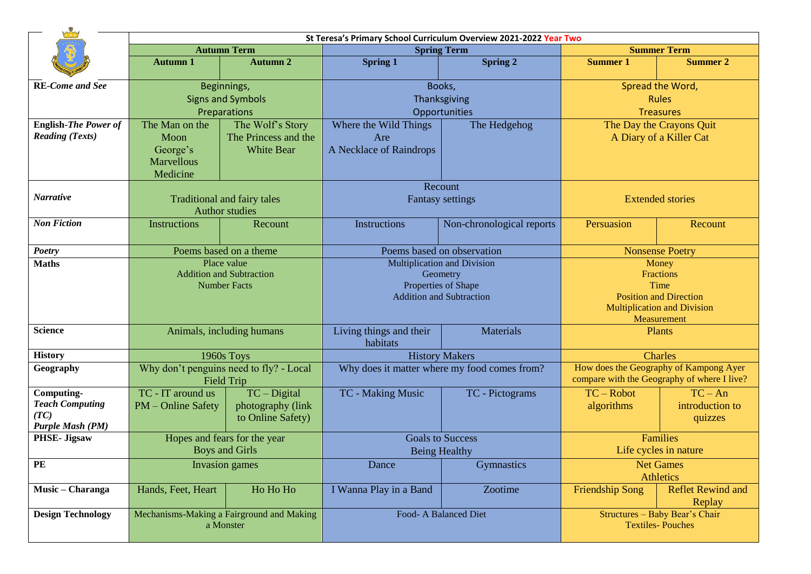|                                | St Teresa's Primary School Curriculum Overview 2021-2022 Year Two |                                         |                                                        |                           |                                                                                       |                          |  |  |  |
|--------------------------------|-------------------------------------------------------------------|-----------------------------------------|--------------------------------------------------------|---------------------------|---------------------------------------------------------------------------------------|--------------------------|--|--|--|
|                                | <b>Autumn Term</b>                                                |                                         | <b>Spring Term</b>                                     |                           | <b>Summer Term</b>                                                                    |                          |  |  |  |
|                                | <b>Autumn 1</b>                                                   | <b>Autumn 2</b>                         | <b>Spring 1</b>                                        | <b>Spring 2</b>           | <b>Summer 1</b>                                                                       | <b>Summer 2</b>          |  |  |  |
| <b>RE-Come and See</b>         |                                                                   | Beginnings,                             |                                                        | Books,                    | Spread the Word,                                                                      |                          |  |  |  |
|                                | <b>Signs and Symbols</b>                                          |                                         | Thanksgiving                                           |                           | <b>Rules</b>                                                                          |                          |  |  |  |
|                                | Preparations                                                      |                                         | Opportunities                                          |                           | <b>Treasures</b>                                                                      |                          |  |  |  |
| <b>English-The Power of</b>    | The Man on the                                                    | The Wolf's Story                        | Where the Wild Things                                  | The Hedgehog              | The Day the Crayons Quit                                                              |                          |  |  |  |
| <b>Reading (Texts)</b>         | Moon                                                              | The Princess and the                    | Are                                                    |                           | A Diary of a Killer Cat                                                               |                          |  |  |  |
|                                | George's                                                          | <b>White Bear</b>                       | A Necklace of Raindrops                                |                           |                                                                                       |                          |  |  |  |
|                                | <b>Marvellous</b>                                                 |                                         |                                                        |                           |                                                                                       |                          |  |  |  |
|                                | Medicine                                                          |                                         |                                                        |                           |                                                                                       |                          |  |  |  |
|                                |                                                                   |                                         |                                                        | Recount                   |                                                                                       |                          |  |  |  |
| <b>Narrative</b>               | <b>Traditional and fairy tales</b>                                |                                         | <b>Fantasy settings</b>                                |                           | <b>Extended stories</b>                                                               |                          |  |  |  |
|                                |                                                                   | <b>Author studies</b>                   |                                                        |                           |                                                                                       |                          |  |  |  |
| <b>Non Fiction</b>             | <b>Instructions</b>                                               | Recount                                 | Instructions                                           | Non-chronological reports | Persuasion                                                                            | Recount                  |  |  |  |
|                                |                                                                   |                                         |                                                        |                           |                                                                                       |                          |  |  |  |
| Poetry                         | Poems based on a theme                                            |                                         | Poems based on observation                             |                           | <b>Nonsense Poetry</b>                                                                |                          |  |  |  |
| <b>Maths</b>                   | Place value                                                       |                                         | <b>Multiplication and Division</b>                     |                           | Money                                                                                 |                          |  |  |  |
|                                | <b>Addition and Subtraction</b><br><b>Number Facts</b>            |                                         | Geometry                                               |                           | Fractions                                                                             |                          |  |  |  |
|                                |                                                                   |                                         | Properties of Shape<br><b>Addition and Subtraction</b> |                           | Time<br><b>Position and Direction</b>                                                 |                          |  |  |  |
|                                |                                                                   |                                         |                                                        |                           | <b>Multiplication and Division</b>                                                    |                          |  |  |  |
|                                |                                                                   |                                         |                                                        |                           | Measurement                                                                           |                          |  |  |  |
| <b>Science</b>                 | Animals, including humans                                         |                                         | Living things and their                                | Materials                 |                                                                                       | Plants                   |  |  |  |
|                                |                                                                   |                                         | habitats                                               |                           |                                                                                       |                          |  |  |  |
| <b>History</b>                 | 1960s Toys                                                        |                                         | <b>History Makers</b>                                  |                           | <b>Charles</b>                                                                        |                          |  |  |  |
| Geography                      |                                                                   | Why don't penguins need to fly? - Local | Why does it matter where my food comes from?           |                           | How does the Geography of Kampong Ayer<br>compare with the Geography of where I live? |                          |  |  |  |
|                                |                                                                   | <b>Field Trip</b>                       |                                                        |                           |                                                                                       |                          |  |  |  |
| Computing-                     | TC - IT around us                                                 | $TC - Digital$                          | TC - Making Music                                      | TC - Pictograms           | $TC - Robot$                                                                          | $TC - An$                |  |  |  |
| <b>Teach Computing</b><br>(TC) | PM – Online Safety                                                | photography (link                       |                                                        |                           | algorithms                                                                            | introduction to          |  |  |  |
| Purple Mash (PM)               |                                                                   | to Online Safety)                       |                                                        |                           |                                                                                       | quizzes                  |  |  |  |
| <b>PHSE- Jigsaw</b>            | Hopes and fears for the year                                      |                                         | <b>Goals to Success</b>                                |                           | Families                                                                              |                          |  |  |  |
|                                | <b>Boys and Girls</b>                                             |                                         | <b>Being Healthy</b>                                   |                           | Life cycles in nature                                                                 |                          |  |  |  |
| PE                             |                                                                   | Invasion games                          | Dance                                                  | <b>Gymnastics</b>         | <b>Net Games</b>                                                                      |                          |  |  |  |
|                                |                                                                   |                                         |                                                        |                           | <b>Athletics</b>                                                                      |                          |  |  |  |
| Music - Charanga               | Hands, Feet, Heart                                                | Ho Ho Ho                                | I Wanna Play in a Band                                 | Zootime                   | <b>Friendship Song</b>                                                                | <b>Reflet Rewind and</b> |  |  |  |
|                                |                                                                   |                                         |                                                        |                           |                                                                                       | Replay                   |  |  |  |
| <b>Design Technology</b>       | Mechanisms-Making a Fairground and Making                         |                                         | Food- A Balanced Diet                                  |                           | Structures - Baby Bear's Chair                                                        |                          |  |  |  |
|                                |                                                                   | a Monster                               |                                                        |                           | <b>Textiles-Pouches</b>                                                               |                          |  |  |  |
|                                |                                                                   |                                         |                                                        |                           |                                                                                       |                          |  |  |  |